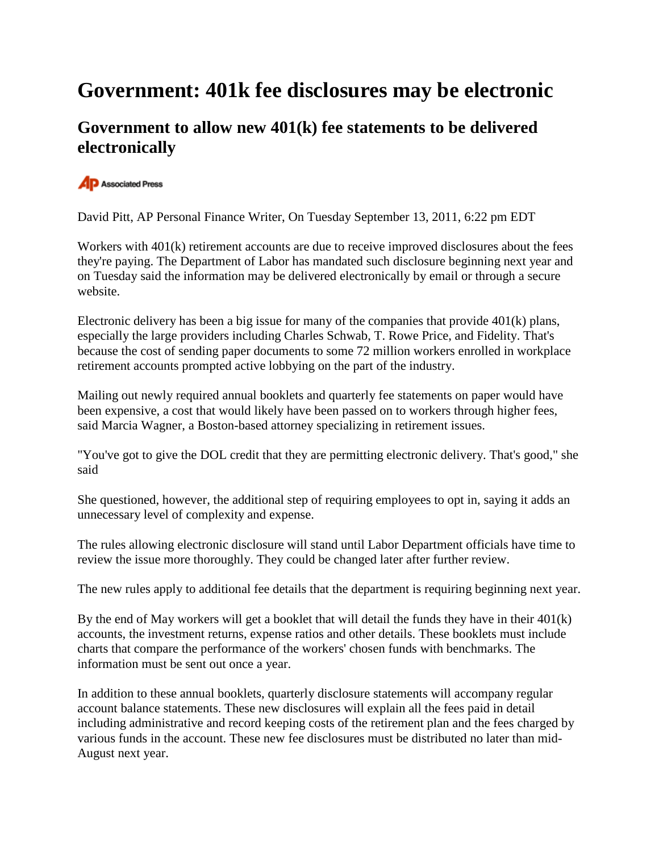## **Government: 401k fee disclosures may be electronic**

## **Government to allow new 401(k) fee statements to be delivered electronically**

## **P** Associated Press

David Pitt, AP Personal Finance Writer, On Tuesday September 13, 2011, 6:22 pm EDT

Workers with 401(k) retirement accounts are due to receive improved disclosures about the fees they're paying. The Department of Labor has mandated such disclosure beginning next year and on Tuesday said the information may be delivered electronically by email or through a secure website.

Electronic delivery has been a big issue for many of the companies that provide 401(k) plans, especially the large providers including Charles Schwab, T. Rowe Price, and Fidelity. That's because the cost of sending paper documents to some 72 million workers enrolled in workplace retirement accounts prompted active lobbying on the part of the industry.

Mailing out newly required annual booklets and quarterly fee statements on paper would have been expensive, a cost that would likely have been passed on to workers through higher fees, said Marcia Wagner, a Boston-based attorney specializing in retirement issues.

"You've got to give the DOL credit that they are permitting electronic delivery. That's good," she said

She questioned, however, the additional step of requiring employees to opt in, saying it adds an unnecessary level of complexity and expense.

The rules allowing electronic disclosure will stand until Labor Department officials have time to review the issue more thoroughly. They could be changed later after further review.

The new rules apply to additional fee details that the department is requiring beginning next year.

By the end of May workers will get a booklet that will detail the funds they have in their 401(k) accounts, the investment returns, expense ratios and other details. These booklets must include charts that compare the performance of the workers' chosen funds with benchmarks. The information must be sent out once a year.

In addition to these annual booklets, quarterly disclosure statements will accompany regular account balance statements. These new disclosures will explain all the fees paid in detail including administrative and record keeping costs of the retirement plan and the fees charged by various funds in the account. These new fee disclosures must be distributed no later than mid-August next year.